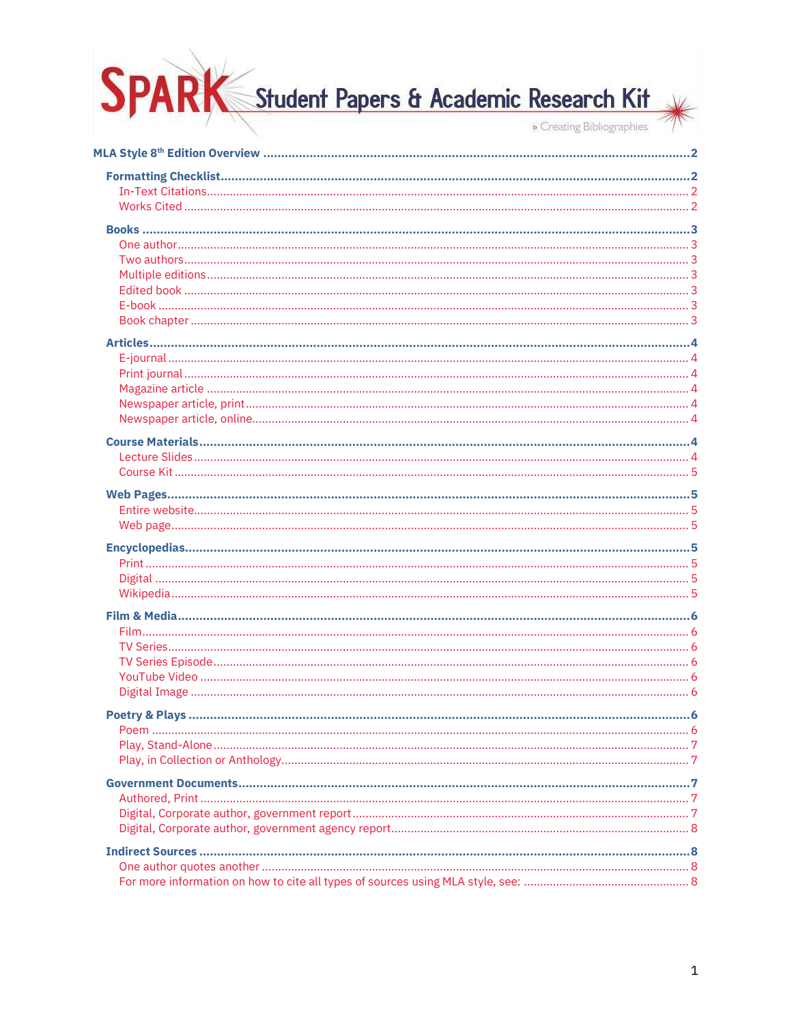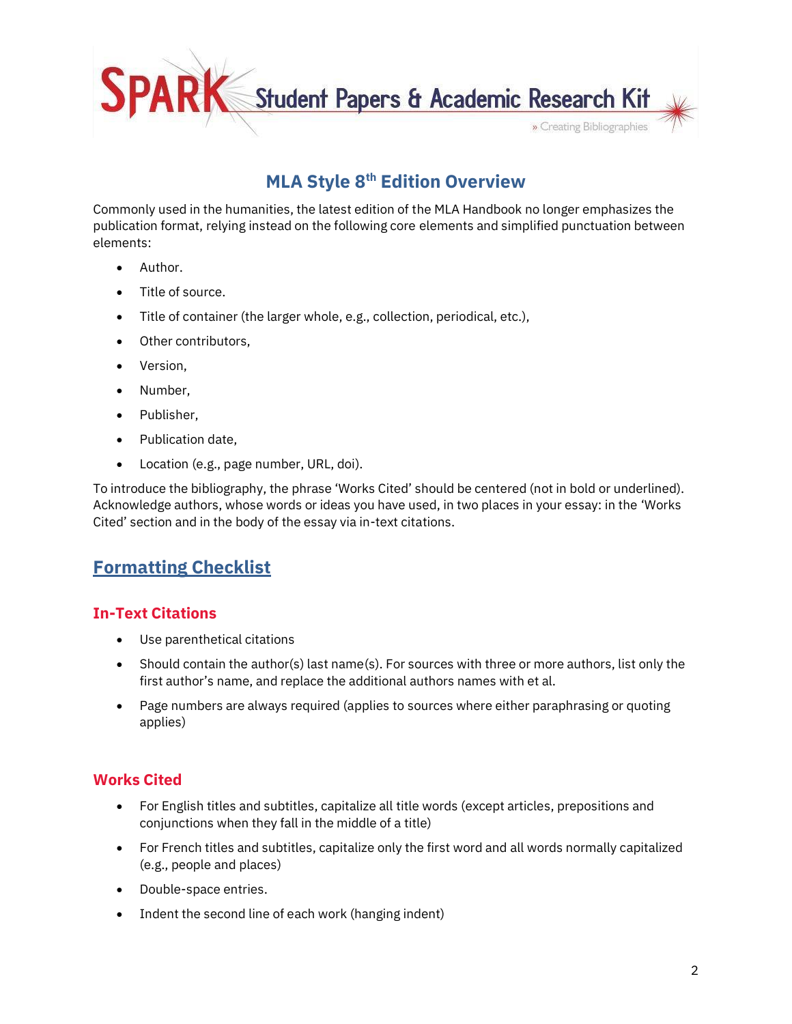

# **MLA Style 8 th Edition Overview**

<span id="page-1-0"></span>Commonly used in the humanities, the latest edition of the MLA Handbook no longer emphasizes the publication format, relying instead on the following core elements and simplified punctuation between elements:

- Author.
- Title of source.
- Title of container (the larger whole, e.g., collection, periodical, etc.),
- Other contributors,
- Version,
- Number,
- Publisher,
- Publication date.
- Location (e.g., page number, URL, doi).

To introduce the bibliography, the phrase 'Works Cited' should be centered (not in bold or underlined). Acknowledge authors, whose words or ideas you have used, in two places in your essay: in the 'Works Cited' section and in the body of the essay via in-text citations.

# <span id="page-1-1"></span>**Formatting Checklist**

#### <span id="page-1-2"></span>**In-Text Citations**

- Use parenthetical citations
- Should contain the author(s) last name(s). For sources with three or more authors, list only the first author's name, and replace the additional authors names with et al.
- Page numbers are always required (applies to sources where either paraphrasing or quoting applies)

#### <span id="page-1-3"></span>**Works Cited**

- For English titles and subtitles, capitalize all title words (except articles, prepositions and conjunctions when they fall in the middle of a title)
- For French titles and subtitles, capitalize only the first word and all words normally capitalized (e.g., people and places)
- Double-space entries.
- Indent the second line of each work (hanging indent)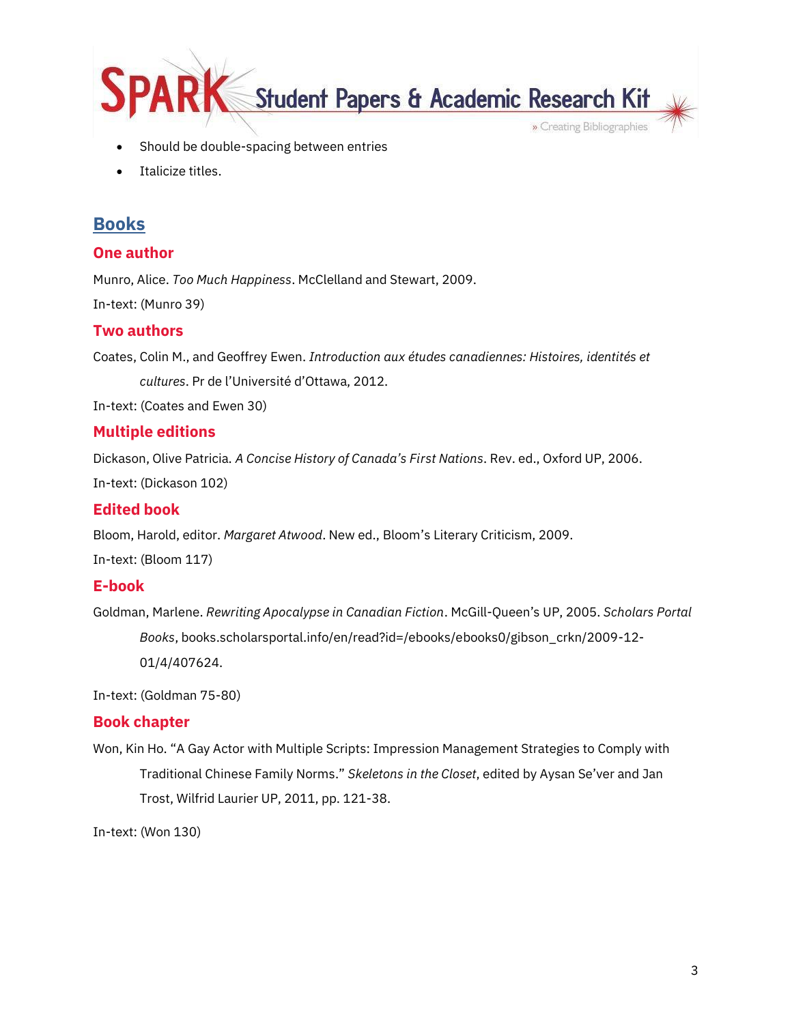

- Should be double-spacing between entries
- Italicize titles.

## <span id="page-2-0"></span>**Books**

#### <span id="page-2-1"></span>**One author**

Munro, Alice. *Too Much Happiness*. McClelland and Stewart, 2009.

In-text: (Munro 39)

#### <span id="page-2-2"></span>**Two authors**

Coates, Colin M., and Geoffrey Ewen. *Introduction aux études canadiennes: Histoires, identités et cultures*. Pr de l'Université d'Ottawa, 2012.

In-text: (Coates and Ewen 30)

#### <span id="page-2-3"></span>**Multiple editions**

Dickason, Olive Patricia. *A Concise History of Canada's First Nations*. Rev. ed., Oxford UP, 2006.

In-text: (Dickason 102)

#### <span id="page-2-4"></span>**Edited book**

Bloom, Harold, editor. *Margaret Atwood*. New ed., Bloom's Literary Criticism, 2009. In-text: (Bloom 117)

#### <span id="page-2-5"></span>**E-book**

Goldman, Marlene. *Rewriting Apocalypse in Canadian Fiction*. McGill-Queen's UP, 2005. *Scholars Portal Books*, books.scholarsportal.info/en/read?id=/ebooks/ebooks0/gibson\_crkn/2009-12- 01/4/407624.

In-text: (Goldman 75-80)

#### <span id="page-2-6"></span>**Book chapter**

Won, Kin Ho. "A Gay Actor with Multiple Scripts: Impression Management Strategies to Comply with Traditional Chinese Family Norms." *Skeletons in the Closet*, edited by Aysan Se'ver and Jan Trost, Wilfrid Laurier UP, 2011, pp. 121-38.

In-text: (Won 130)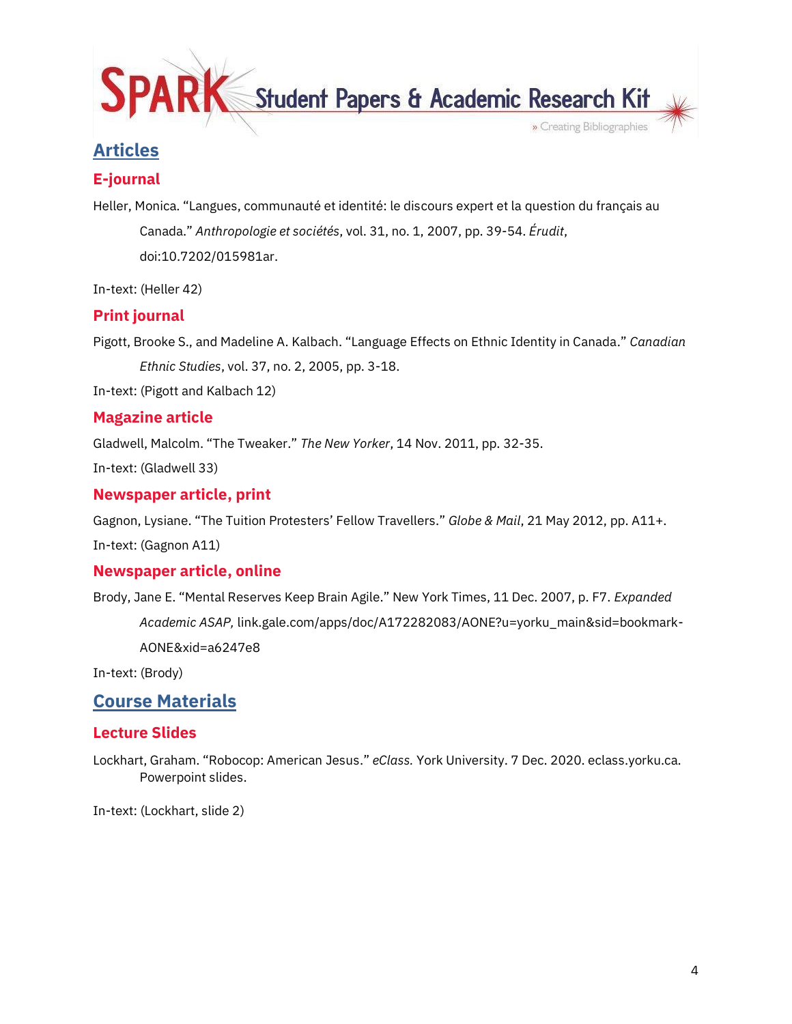

# <span id="page-3-0"></span>**Articles**

## <span id="page-3-1"></span>**E-journal**

Heller, Monica. "Langues, communauté et identité: le discours expert et la question du français au Canada." *Anthropologie et sociétés*, vol. 31, no. 1, 2007, pp. 39-54. *Érudit*, doi:10.7202/015981ar.

In-text: (Heller 42)

## <span id="page-3-2"></span>**Print journal**

Pigott, Brooke S., and Madeline A. Kalbach. "Language Effects on Ethnic Identity in Canada." *Canadian Ethnic Studies*, vol. 37, no. 2, 2005, pp. 3-18.

In-text: (Pigott and Kalbach 12)

## <span id="page-3-3"></span>**Magazine article**

Gladwell, Malcolm. "The Tweaker." *The New Yorker*, 14 Nov. 2011, pp. 32-35.

In-text: (Gladwell 33)

#### <span id="page-3-4"></span>**Newspaper article, print**

Gagnon, Lysiane. "The Tuition Protesters' Fellow Travellers." *Globe & Mail*, 21 May 2012, pp. A11+.

In-text: (Gagnon A11)

#### <span id="page-3-5"></span>**Newspaper article, online**

Brody, Jane E. "Mental Reserves Keep Brain Agile." New York Times, 11 Dec. 2007, p. F7. *Expanded Academic ASAP,* link.gale.com/apps/doc/A172282083/AONE?u=yorku\_main&sid=bookmark-AONE&xid=a6247e8

In-text: (Brody)

## <span id="page-3-6"></span>**Course Materials**

#### <span id="page-3-7"></span>**Lecture Slides**

Lockhart, Graham. "Robocop: American Jesus." *eClass.* York University. 7 Dec. 2020. eclass.yorku.ca. Powerpoint slides.

In-text: (Lockhart, slide 2)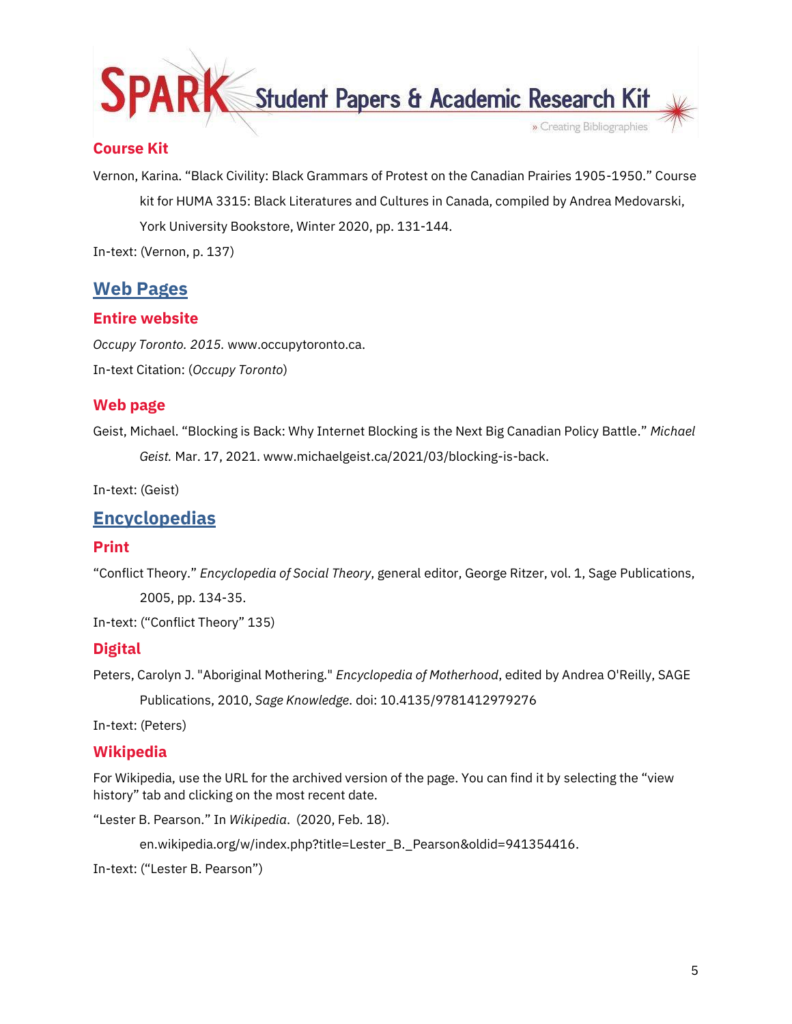

### <span id="page-4-0"></span>**Course Kit**

Vernon, Karina. "Black Civility: Black Grammars of Protest on the Canadian Prairies 1905-1950." Course kit for HUMA 3315: Black Literatures and Cultures in Canada, compiled by Andrea Medovarski, York University Bookstore, Winter 2020, pp. 131-144.

In-text: (Vernon, p. 137)

## <span id="page-4-1"></span>**Web Pages**

#### <span id="page-4-2"></span>**Entire website**

*Occupy Toronto. 2015.* www.occupytoronto.ca. In-text Citation: (*Occupy Toronto*)

#### <span id="page-4-3"></span>**Web page**

Geist, Michael. "Blocking is Back: Why Internet Blocking is the Next Big Canadian Policy Battle." *Michael Geist.* Mar. 17, 2021. www.michaelgeist.ca/2021/03/blocking-is-back.

In-text: (Geist)

## <span id="page-4-4"></span>**Encyclopedias**

#### <span id="page-4-5"></span>**Print**

"Conflict Theory." *Encyclopedia of Social Theory*, general editor, George Ritzer, vol. 1, Sage Publications, 2005, pp. 134-35.

In-text: ("Conflict Theory" 135)

#### <span id="page-4-6"></span>**Digital**

Peters, Carolyn J. "Aboriginal Mothering." *Encyclopedia of Motherhood*, edited by Andrea O'Reilly, SAGE Publications, 2010, *Sage Knowledge*. doi: 10.4135/9781412979276

In-text: (Peters)

#### <span id="page-4-7"></span>**Wikipedia**

For Wikipedia, use the URL for the archived version of the page. You can find it by selecting the "view history" tab and clicking on the most recent date.

"Lester B. Pearson." In *Wikipedia*. (2020, Feb. 18).

en.wikipedia.org/w/index.php?title=Lester\_B.\_Pearson&oldid=941354416.

In-text: ("Lester B. Pearson")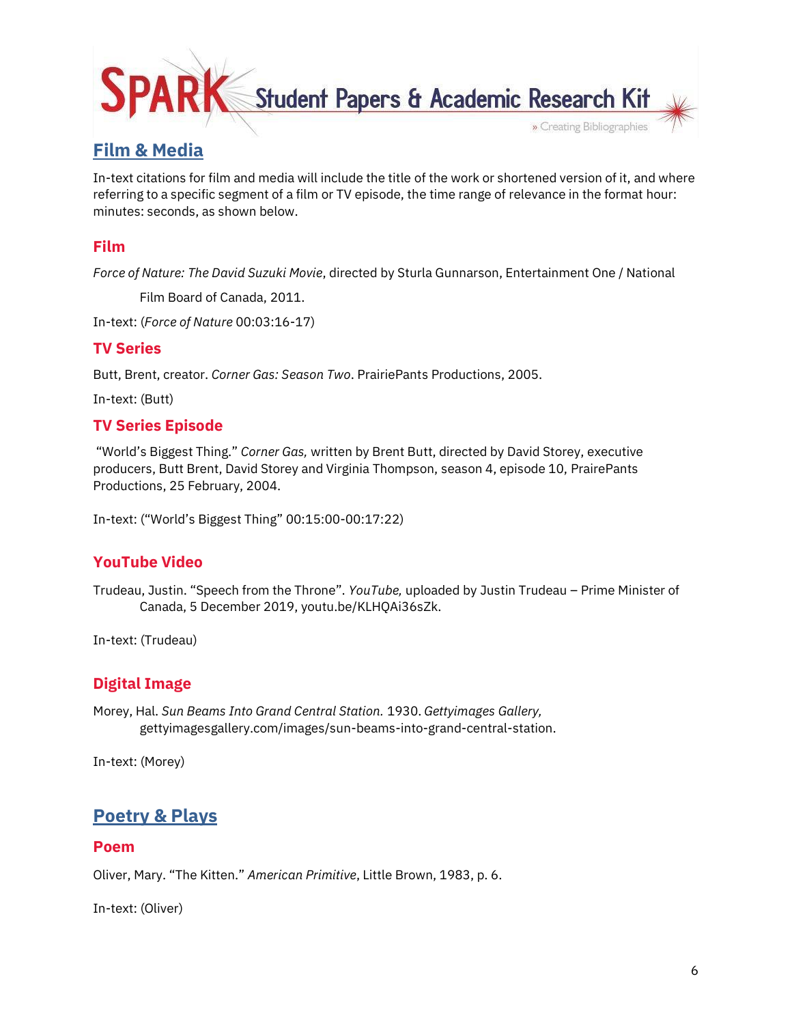

# <span id="page-5-0"></span>**Film & Media**

In-text citations for film and media will include the title of the work or shortened version of it, and where referring to a specific segment of a film or TV episode, the time range of relevance in the format hour: minutes: seconds, as shown below.

#### <span id="page-5-1"></span>**Film**

*Force of Nature: The David Suzuki Movie*, directed by Sturla Gunnarson, Entertainment One / National

Film Board of Canada, 2011.

In-text: (*Force of Nature* 00:03:16-17)

#### <span id="page-5-2"></span>**TV Series**

Butt, Brent, creator. *Corner Gas: Season Two*. PrairiePants Productions, 2005.

In-text: (Butt)

#### <span id="page-5-3"></span>**TV Series Episode**

"World's Biggest Thing." *Corner Gas,* written by Brent Butt, directed by David Storey, executive producers, Butt Brent, David Storey and Virginia Thompson, season 4, episode 10, PrairePants Productions, 25 February, 2004.

In-text: ("World's Biggest Thing" 00:15:00-00:17:22)

#### <span id="page-5-4"></span>**YouTube Video**

Trudeau, Justin. "Speech from the Throne". *YouTube,* uploaded by Justin Trudeau – Prime Minister of Canada, 5 December 2019, youtu.be/KLHQAi36sZk.

In-text: (Trudeau)

#### <span id="page-5-5"></span>**Digital Image**

Morey, Hal. *Sun Beams Into Grand Central Station.* 1930. *Gettyimages Gallery,* gettyimagesgallery.com/images/sun-beams-into-grand-central-station.

In-text: (Morey)

## <span id="page-5-6"></span>**Poetry & Plays**

#### <span id="page-5-7"></span>**Poem**

Oliver, Mary. "The Kitten." *American Primitive*, Little Brown, 1983, p. 6.

In-text: (Oliver)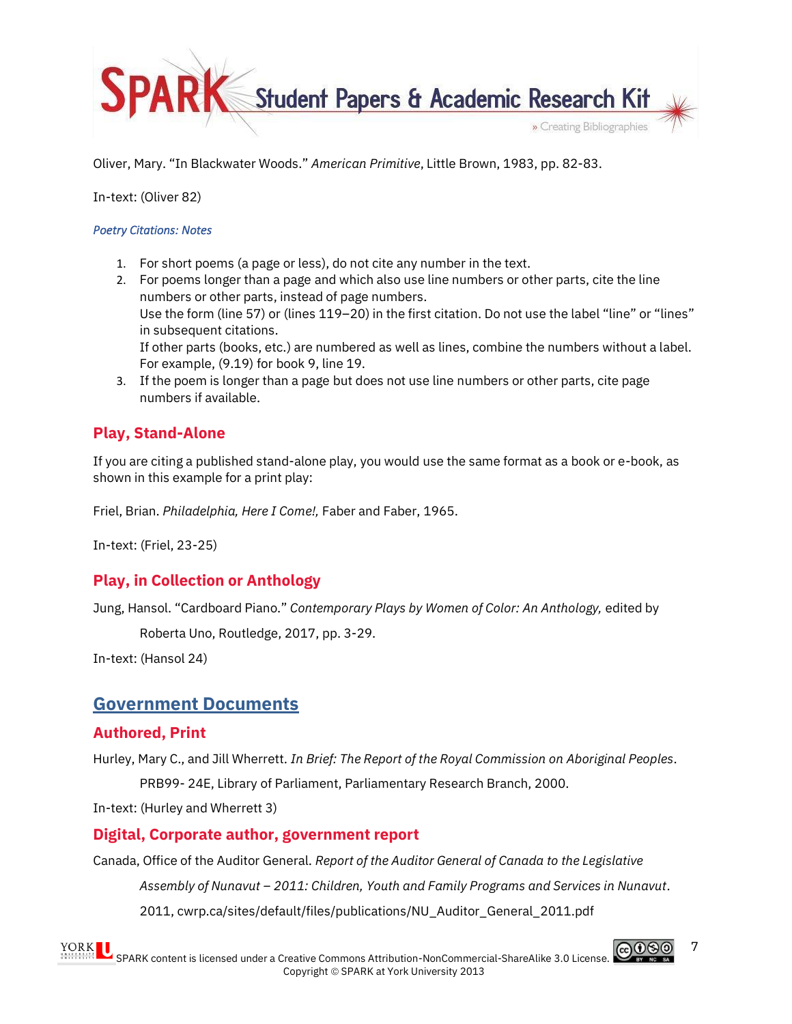

Oliver, Mary. "In Blackwater Woods." *American Primitive*, Little Brown, 1983, pp. 82-83.

In-text: (Oliver 82)

#### *Poetry Citations: Notes*

- 1. For short poems (a page or less), do not cite any number in the text.
- 2. For poems longer than a page and which also use line numbers or other parts, cite the line numbers or other parts, instead of page numbers. Use the form (line 57) or (lines 119–20) in the first citation. Do not use the label "line" or "lines" in subsequent citations. If other parts (books, etc.) are numbered as well as lines, combine the numbers without a label. For example, (9.19) for book 9, line 19.
- 3. If the poem is longer than a page but does not use line numbers or other parts, cite page numbers if available.

## <span id="page-6-0"></span>**Play, Stand-Alone**

If you are citing a published stand-alone play, you would use the same format as a book or e-book, as shown in this example for a print play:

Friel, Brian. *Philadelphia, Here I Come!,* Faber and Faber, 1965.

In-text: (Friel, 23-25)

## <span id="page-6-1"></span>**Play, in Collection or Anthology**

Jung, Hansol. "Cardboard Piano." *Contemporary Plays by Women of Color: An Anthology,* edited by

Roberta Uno, Routledge, 2017, pp. 3-29.

In-text: (Hansol 24)

## <span id="page-6-2"></span>**Government Documents**

#### <span id="page-6-3"></span>**Authored, Print**

Hurley, Mary C., and Jill Wherrett. *In Brief: The Report of the Royal Commission on Aboriginal Peoples*. PRB99- 24E, Library of Parliament, Parliamentary Research Branch, 2000.

In-text: (Hurley and Wherrett 3)

#### <span id="page-6-4"></span>**Digital, Corporate author, government report**

Canada, Office of the Auditor General. *Report of the Auditor General of Canada to the Legislative Assembly of Nunavut – 2011: Children, Youth and Family Programs and Services in Nunavut*. 2011, cwrp.ca/sites/default/files/publications/NU\_Auditor\_General\_2011.pdf

7